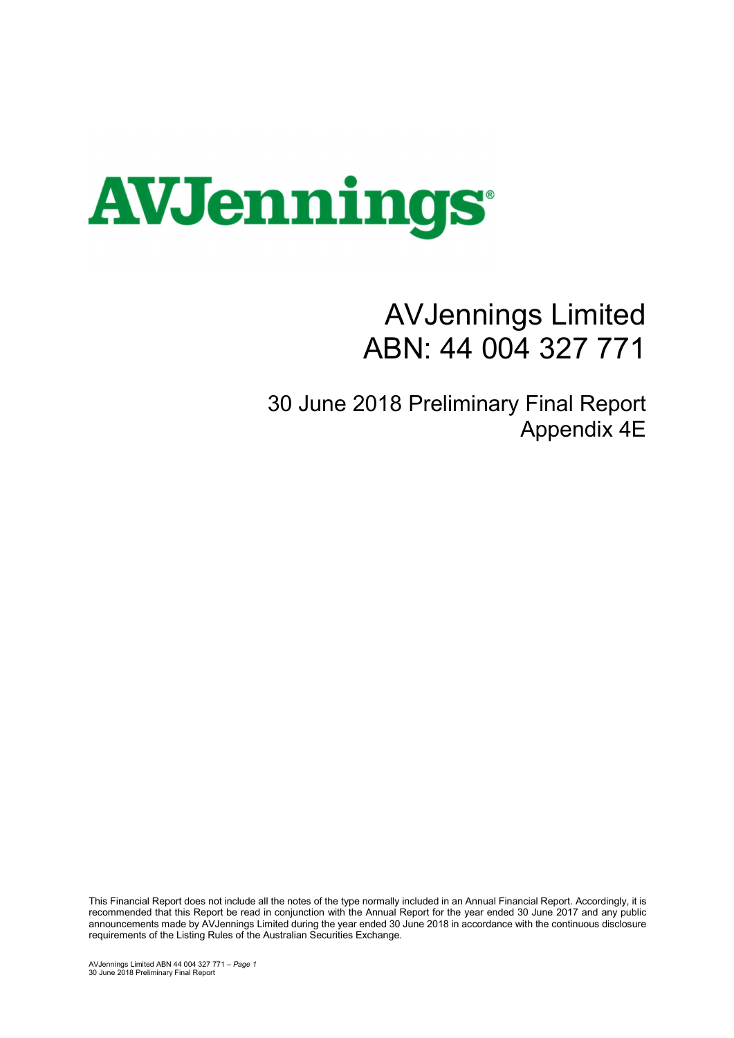

## AVJennings Limited ABN: 44 004 327 771

30 June 2018 Preliminary Final Report Appendix 4E

This Financial Report does not include all the notes of the type normally included in an Annual Financial Report. Accordingly, it is recommended that this Report be read in conjunction with the Annual Report for the year ended 30 June 2017 and any public announcements made by AVJennings Limited during the year ended 30 June 2018 in accordance with the continuous disclosure requirements of the Listing Rules of the Australian Securities Exchange.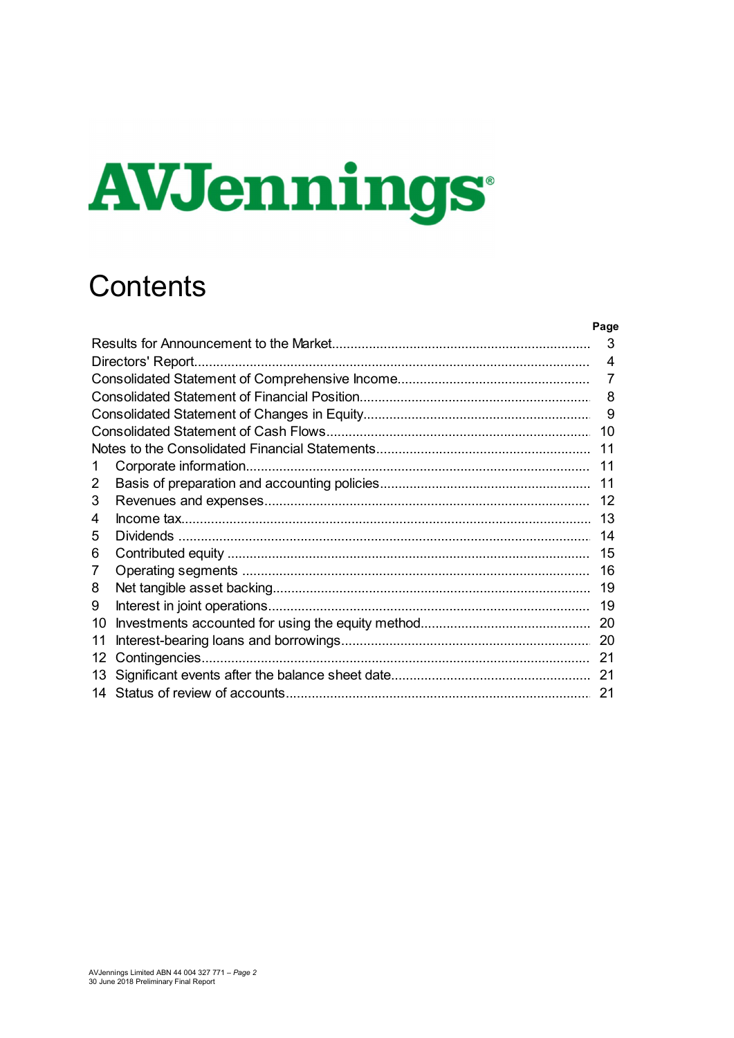# **AVJennings**

## Contents

|    |                   | Page |
|----|-------------------|------|
|    |                   | 3    |
|    | Directors' Report | 4    |
|    |                   |      |
|    |                   | 8    |
|    |                   | 9    |
|    |                   | 10   |
|    |                   | 11   |
| 1  |                   | 11   |
| 2  |                   | 11   |
| 3  |                   | 12   |
| 4  |                   | 13   |
| 5  |                   | 14   |
| 6  |                   | 15   |
| 7  |                   | 16   |
| 8  |                   | 19   |
| 9  |                   | 19   |
| 10 |                   | 20   |
| 11 |                   | 20   |
| 12 |                   | 21   |
| 13 |                   | 21   |
|    |                   | 21   |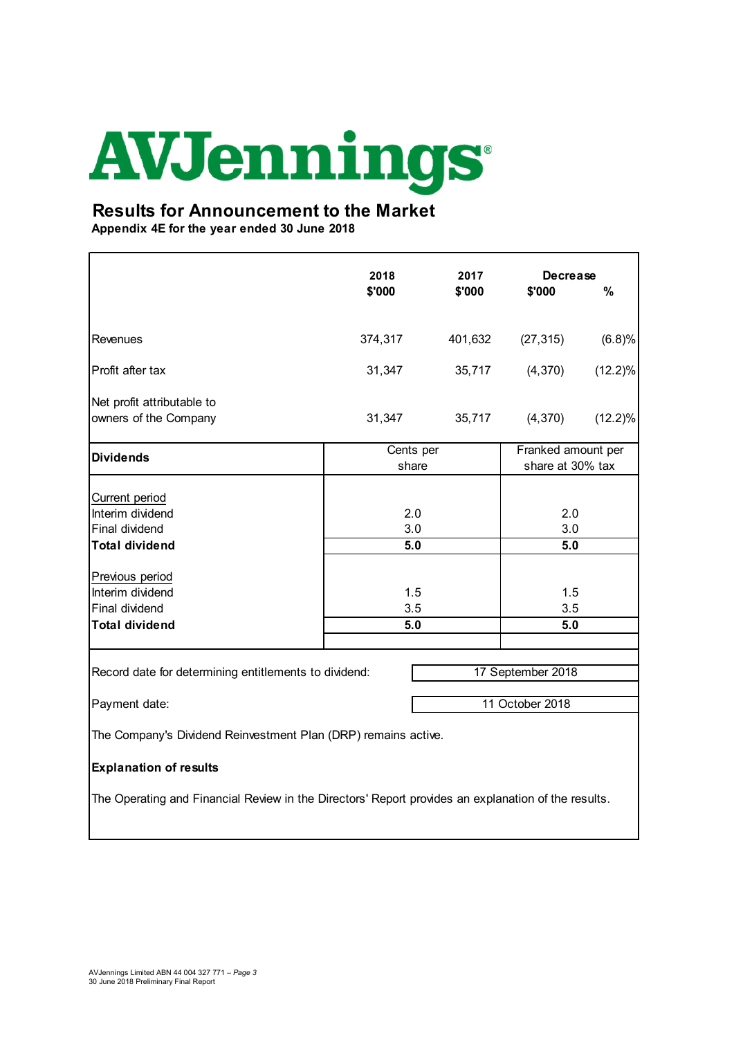### Results for Announcement to the Market

| <b>AVJennings</b>                                                                                   |                    |         |                                        |            |
|-----------------------------------------------------------------------------------------------------|--------------------|---------|----------------------------------------|------------|
|                                                                                                     |                    |         |                                        |            |
| <b>Results for Announcement to the Market</b><br>Appendix 4E for the year ended 30 June 2018        |                    |         |                                        |            |
|                                                                                                     | 2018               | 2017    | <b>Decrease</b>                        |            |
|                                                                                                     | \$'000             | \$'000  | \$'000                                 | $\%$       |
| Revenues                                                                                            | 374,317            | 401,632 | (27, 315)                              | (6.8)%     |
| Profit after tax                                                                                    | 31,347             | 35,717  | (4,370)                                | $(12.2)\%$ |
| Net profit attributable to<br>owners of the Company                                                 | 31,347             | 35,717  | (4,370)                                | $(12.2)\%$ |
| <b>Dividends</b>                                                                                    | Cents per<br>share |         | Franked amount per<br>share at 30% tax |            |
| Current period<br>Interim dividend                                                                  | 2.0                |         | 2.0                                    |            |
| Final dividend<br><b>Total dividend</b>                                                             | 3.0<br>5.0         |         | 3.0<br>5.0                             |            |
| Previous period                                                                                     |                    |         |                                        |            |
| Interim dividend<br>Final dividend                                                                  | 1.5<br>3.5         |         | 1.5<br>3.5                             |            |
| <b>Total dividend</b>                                                                               | 5.0                |         | 5.0                                    |            |
| Record date for determining entitlements to dividend:                                               |                    |         | 17 September 2018                      |            |
| Payment date:                                                                                       |                    |         | 11 October 2018                        |            |
| The Company's Dividend Reinvestment Plan (DRP) remains active.                                      |                    |         |                                        |            |
| <b>Explanation of results</b>                                                                       |                    |         |                                        |            |
| The Operating and Financial Review in the Directors' Report provides an explanation of the results. |                    |         |                                        |            |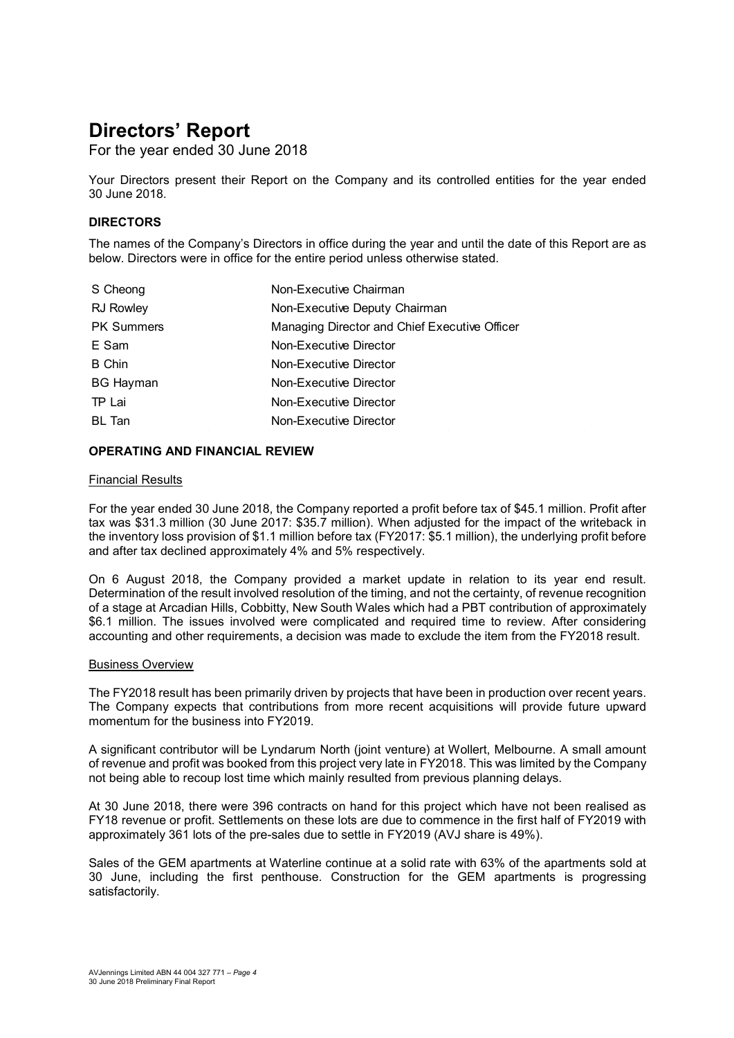## Directors' Report

For the year ended 30 June 2018

Your Directors present their Report on the Company and its controlled entities for the year ended 30 June 2018.

#### DIRECTORS

The names of the Company's Directors in office during the year and until the date of this Report are as below. Directors were in office for the entire period unless otherwise stated.

| S Cheong          | Non-Executive Chairman                        |
|-------------------|-----------------------------------------------|
| <b>RJ Rowley</b>  | Non-Executive Deputy Chairman                 |
| <b>PK Summers</b> | Managing Director and Chief Executive Officer |
| E Sam             | Non-Executive Director                        |
| <b>B</b> Chin     | Non-Executive Director                        |
| <b>BG Hayman</b>  | Non-Executive Director                        |
| TP Lai            | Non-Executive Director                        |
| BL Tan            | Non-Executive Director                        |

#### OPERATING AND FINANCIAL REVIEW

#### Financial Results

For the year ended 30 June 2018, the Company reported a profit before tax of \$45.1 million. Profit after tax was \$31.3 million (30 June 2017: \$35.7 million). When adjusted for the impact of the writeback in the inventory loss provision of \$1.1 million before tax (FY2017: \$5.1 million), the underlying profit before and after tax declined approximately 4% and 5% respectively.

On 6 August 2018, the Company provided a market update in relation to its year end result. Determination of the result involved resolution of the timing, and not the certainty, of revenue recognition of a stage at Arcadian Hills, Cobbitty, New South Wales which had a PBT contribution of approximately \$6.1 million. The issues involved were complicated and required time to review. After considering accounting and other requirements, a decision was made to exclude the item from the FY2018 result.

#### Business Overview

The FY2018 result has been primarily driven by projects that have been in production over recent years. The Company expects that contributions from more recent acquisitions will provide future upward momentum for the business into FY2019.

A significant contributor will be Lyndarum North (joint venture) at Wollert, Melbourne. A small amount of revenue and profit was booked from this project very late in FY2018. This was limited by the Company not being able to recoup lost time which mainly resulted from previous planning delays.

At 30 June 2018, there were 396 contracts on hand for this project which have not been realised as FY18 revenue or profit. Settlements on these lots are due to commence in the first half of FY2019 with approximately 361 lots of the pre-sales due to settle in FY2019 (AVJ share is 49%).

Sales of the GEM apartments at Waterline continue at a solid rate with 63% of the apartments sold at 30 June, including the first penthouse. Construction for the GEM apartments is progressing satisfactorily.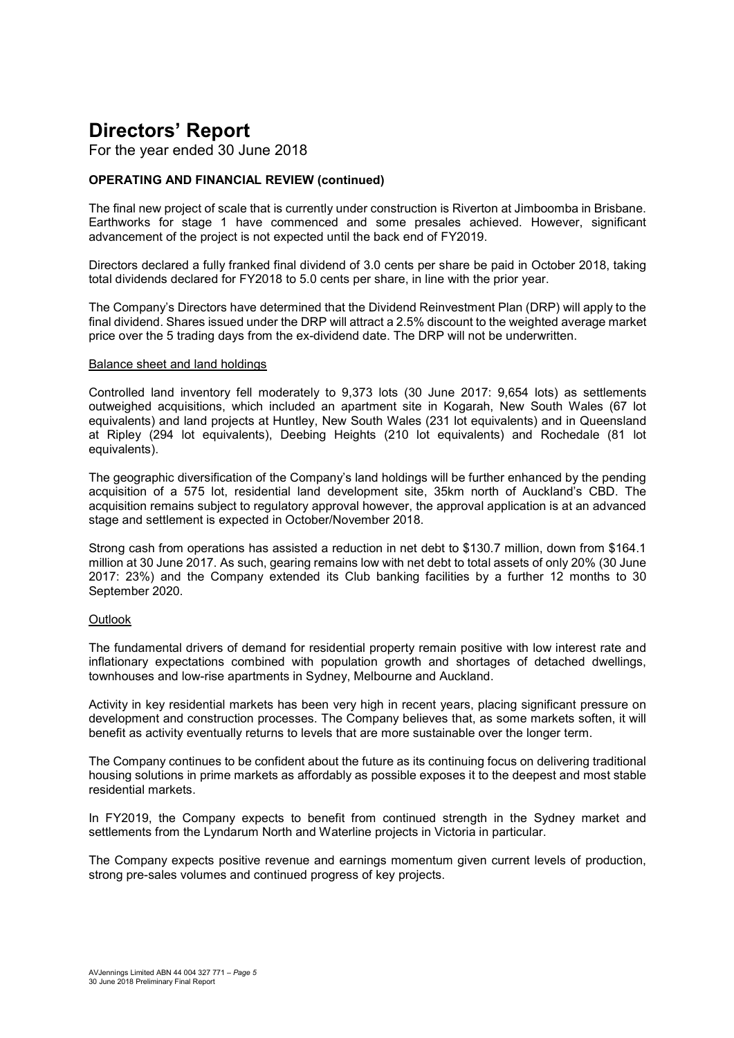## Directors' Report

For the year ended 30 June 2018

#### OPERATING AND FINANCIAL REVIEW (continued)

The final new project of scale that is currently under construction is Riverton at Jimboomba in Brisbane. Earthworks for stage 1 have commenced and some presales achieved. However, significant advancement of the project is not expected until the back end of FY2019.

Directors declared a fully franked final dividend of 3.0 cents per share be paid in October 2018, taking total dividends declared for FY2018 to 5.0 cents per share, in line with the prior year.

The Company's Directors have determined that the Dividend Reinvestment Plan (DRP) will apply to the final dividend. Shares issued under the DRP will attract a 2.5% discount to the weighted average market price over the 5 trading days from the ex-dividend date. The DRP will not be underwritten.

#### Balance sheet and land holdings

Controlled land inventory fell moderately to 9,373 lots (30 June 2017: 9,654 lots) as settlements outweighed acquisitions, which included an apartment site in Kogarah, New South Wales (67 lot equivalents) and land projects at Huntley, New South Wales (231 lot equivalents) and in Queensland at Ripley (294 lot equivalents), Deebing Heights (210 lot equivalents) and Rochedale (81 lot equivalents).

The geographic diversification of the Company's land holdings will be further enhanced by the pending acquisition of a 575 lot, residential land development site, 35km north of Auckland's CBD. The acquisition remains subject to regulatory approval however, the approval application is at an advanced stage and settlement is expected in October/November 2018.

Strong cash from operations has assisted a reduction in net debt to \$130.7 million, down from \$164.1 million at 30 June 2017. As such, gearing remains low with net debt to total assets of only 20% (30 June 2017: 23%) and the Company extended its Club banking facilities by a further 12 months to 30 September 2020.

#### **Outlook**

The fundamental drivers of demand for residential property remain positive with low interest rate and inflationary expectations combined with population growth and shortages of detached dwellings, townhouses and low-rise apartments in Sydney, Melbourne and Auckland.

Activity in key residential markets has been very high in recent years, placing significant pressure on development and construction processes. The Company believes that, as some markets soften, it will benefit as activity eventually returns to levels that are more sustainable over the longer term.

The Company continues to be confident about the future as its continuing focus on delivering traditional housing solutions in prime markets as affordably as possible exposes it to the deepest and most stable residential markets.

In FY2019, the Company expects to benefit from continued strength in the Sydney market and settlements from the Lyndarum North and Waterline projects in Victoria in particular.

The Company expects positive revenue and earnings momentum given current levels of production, strong pre-sales volumes and continued progress of key projects.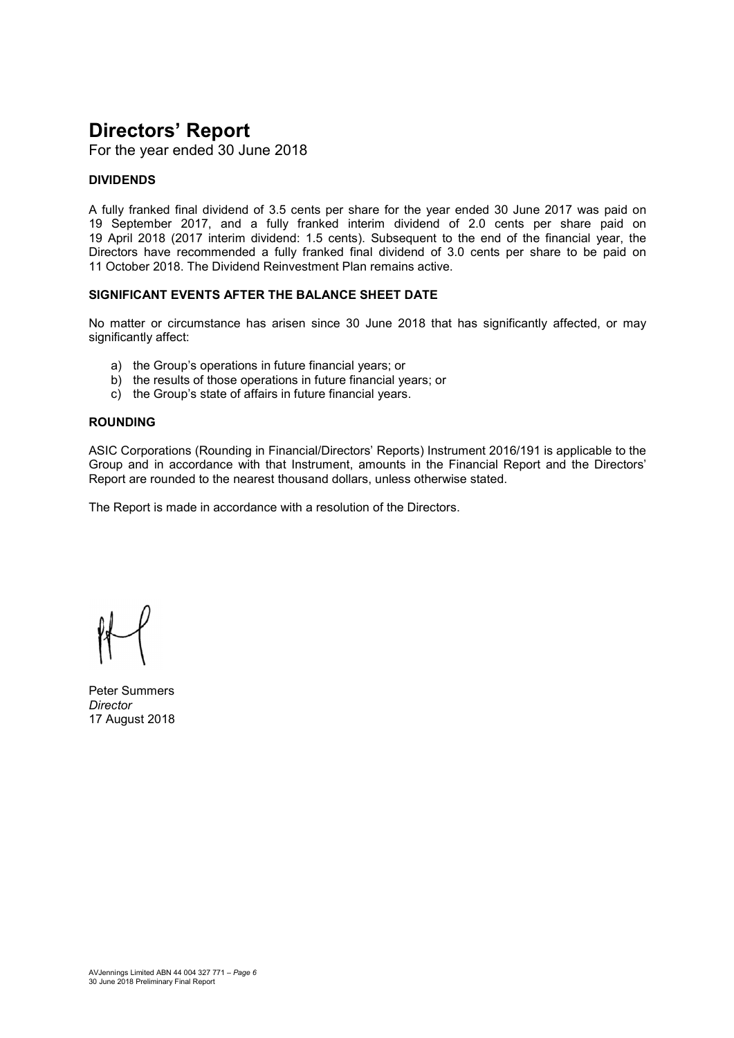## Directors' Report

For the year ended 30 June 2018

#### DIVIDENDS

A fully franked final dividend of 3.5 cents per share for the year ended 30 June 2017 was paid on 19 September 2017, and a fully franked interim dividend of 2.0 cents per share paid on 19 April 2018 (2017 interim dividend: 1.5 cents). Subsequent to the end of the financial year, the Directors have recommended a fully franked final dividend of 3.0 cents per share to be paid on 11 October 2018. The Dividend Reinvestment Plan remains active.

#### SIGNIFICANT FVENTS AFTER THE BALANCE SHEET DATE

No matter or circumstance has arisen since 30 June 2018 that has significantly affected, or may significantly affect:

- a) the Group's operations in future financial years; or
- b) the results of those operations in future financial years; or
- c) the Group's state of affairs in future financial years.

#### ROUNDING

ASIC Corporations (Rounding in Financial/Directors' Reports) Instrument 2016/191 is applicable to the Group and in accordance with that Instrument, amounts in the Financial Report and the Directors' Report are rounded to the nearest thousand dollars, unless otherwise stated.

The Report is made in accordance with a resolution of the Directors.

Peter Summers **Director** 17 August 2018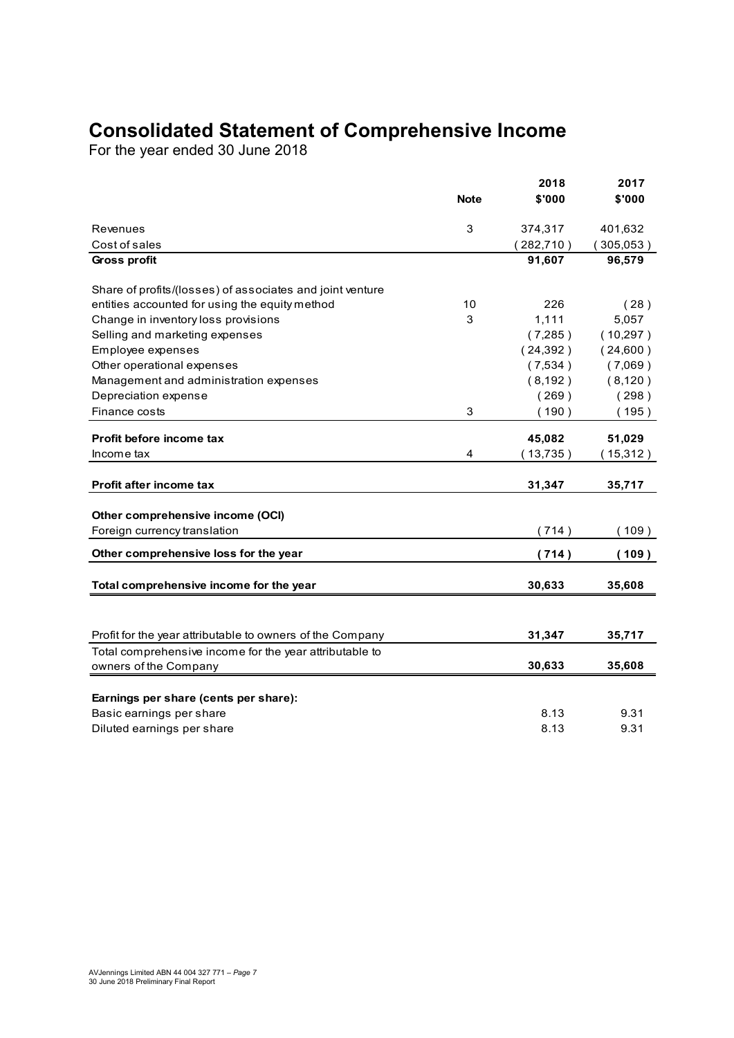## Consolidated Statement of Comprehensive Income

| <b>Consolidated Statement of Comprehensive Income</b>     |             |            |           |
|-----------------------------------------------------------|-------------|------------|-----------|
|                                                           |             |            |           |
|                                                           |             |            |           |
|                                                           |             |            |           |
|                                                           |             |            |           |
|                                                           |             |            |           |
|                                                           |             |            |           |
|                                                           |             |            |           |
|                                                           |             |            |           |
|                                                           |             |            |           |
|                                                           |             |            |           |
| For the year ended 30 June 2018                           |             |            |           |
|                                                           |             |            |           |
|                                                           |             | 2018       | 2017      |
|                                                           | <b>Note</b> | \$'000     | \$'000    |
|                                                           |             |            |           |
| Revenues                                                  | 3           | 374,317    | 401,632   |
| Cost of sales                                             |             | (282, 710) | (305,053) |
| Gross profit                                              |             | 91,607     | 96,579    |
| Share of profits/(losses) of associates and joint venture |             |            |           |
| entities accounted for using the equity method            | 10          | 226        | (28)      |
| Change in inventory loss provisions                       | 3           | 1,111      | 5,057     |
| Selling and marketing expenses                            |             | (7,285)    | (10, 297) |
| Employee expenses                                         |             | (24, 392)  | (24,600)  |
| Other operational expenses                                |             | (7,534)    | (7,069)   |
| Management and administration expenses                    |             | (8, 192)   | (8, 120)  |
| Depreciation expense                                      |             | (269)      | (298)     |
| Finance costs                                             | 3           | (190)      | (195)     |
|                                                           |             |            |           |
| Profit before income tax                                  |             | 45,082     | 51,029    |
| Income tax                                                | 4           | (13, 735)  | (15,312)  |
|                                                           |             |            |           |
| Profit after income tax                                   |             | 31,347     | 35,717    |
| Other comprehensive income (OCI)                          |             |            |           |
| Foreign currency translation                              |             | (714)      | (109)     |
|                                                           |             |            |           |
| Other comprehensive loss for the year                     |             | (714)      | (109)     |
| Total comprehensive income for the year                   |             | 30,633     | 35,608    |
|                                                           |             |            |           |
|                                                           |             |            |           |
| Profit for the year attributable to owners of the Company |             | 31,347     | 35,717    |
| Total comprehensive income for the year attributable to   |             |            |           |
| owners of the Company                                     |             | 30,633     | 35,608    |
|                                                           |             |            |           |
| Earnings per share (cents per share):                     |             |            |           |
|                                                           |             | 8.13       | 9.31      |
| Basic earnings per share<br>Diluted earnings per share    |             | 8.13       | 9.31      |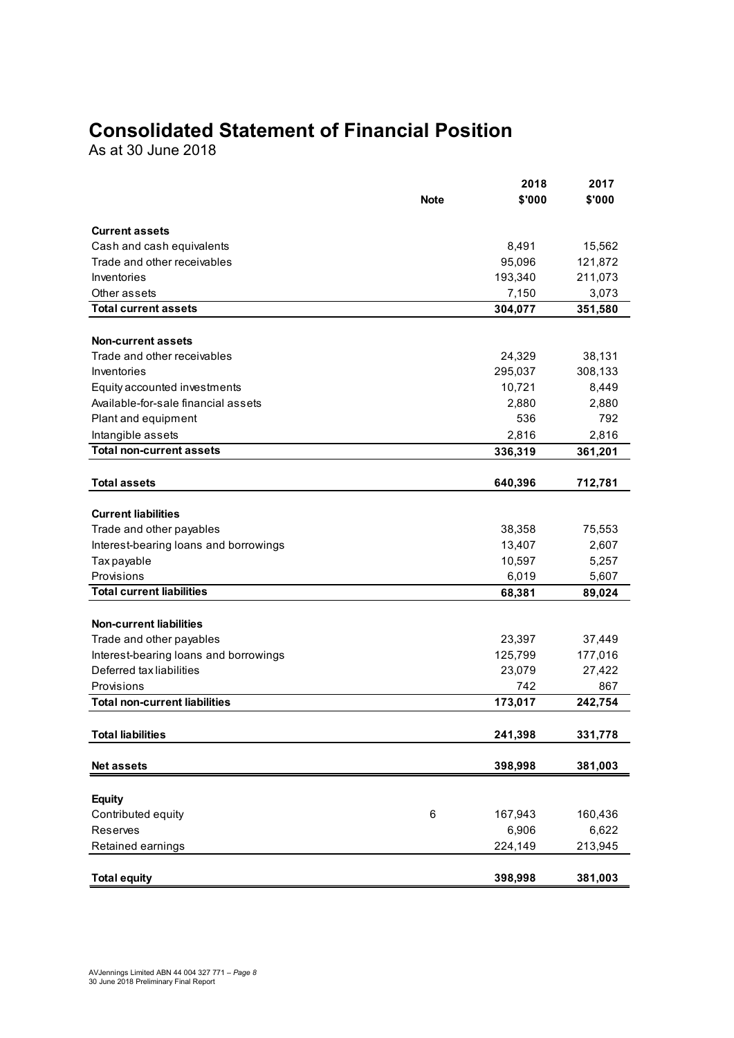## Consolidated Statement of Financial Position

| <b>Consolidated Statement of Financial Position</b> |             |         |         |
|-----------------------------------------------------|-------------|---------|---------|
|                                                     |             |         |         |
|                                                     |             |         |         |
|                                                     |             |         |         |
|                                                     |             |         |         |
|                                                     |             |         |         |
|                                                     |             |         |         |
|                                                     |             |         |         |
|                                                     |             |         |         |
|                                                     |             |         |         |
|                                                     |             |         |         |
| As at 30 June 2018                                  |             |         |         |
|                                                     |             |         |         |
|                                                     |             | 2018    | 2017    |
|                                                     | <b>Note</b> | \$'000  | \$'000  |
|                                                     |             |         |         |
| <b>Current assets</b>                               |             |         |         |
| Cash and cash equivalents                           |             | 8,491   | 15,562  |
| Trade and other receivables                         |             | 95,096  | 121,872 |
| Inventories                                         |             | 193,340 | 211,073 |
| Other assets<br><b>Total current assets</b>         |             | 7,150   | 3,073   |
|                                                     |             | 304,077 | 351,580 |
| <b>Non-current assets</b>                           |             |         |         |
| Trade and other receivables                         |             | 24,329  | 38,131  |
| Inventories                                         |             | 295,037 | 308,133 |
| Equity accounted investments                        |             | 10,721  | 8,449   |
| Available-for-sale financial assets                 |             | 2,880   | 2,880   |
| Plant and equipment                                 |             | 536     | 792     |
| Intangible assets                                   |             | 2,816   | 2,816   |
| <b>Total non-current assets</b>                     |             | 336,319 | 361,201 |
|                                                     |             |         |         |
| <b>Total assets</b>                                 |             | 640,396 | 712,781 |
|                                                     |             |         |         |
| <b>Current liabilities</b>                          |             |         |         |
| Trade and other payables                            |             | 38,358  | 75,553  |
| Interest-bearing loans and borrowings               |             | 13,407  | 2,607   |
| Tax payable                                         |             | 10,597  | 5,257   |
| Provisions                                          |             | 6,019   | 5,607   |
| <b>Total current liabilities</b>                    |             | 68,381  | 89,024  |
|                                                     |             |         |         |
| <b>Non-current liabilities</b>                      |             |         |         |
| Trade and other payables                            |             | 23,397  | 37,449  |
| Interest-bearing loans and borrowings               |             | 125,799 | 177,016 |
| Deferred tax liabilities                            |             | 23,079  | 27,422  |
| Provisions                                          |             | 742     | 867     |
| <b>Total non-current liabilities</b>                |             | 173,017 | 242,754 |
|                                                     |             |         |         |
| <b>Total liabilities</b>                            |             | 241,398 | 331,778 |
|                                                     |             |         |         |
| Net assets                                          |             | 398,998 | 381,003 |
|                                                     |             |         |         |
| <b>Equity</b>                                       |             |         |         |
| Contributed equity                                  | $\,6\,$     | 167,943 | 160,436 |
| Reserves                                            |             | 6,906   | 6,622   |
| Retained earnings                                   |             | 224,149 | 213,945 |
|                                                     |             |         |         |
| <b>Total equity</b>                                 |             | 398,998 | 381,003 |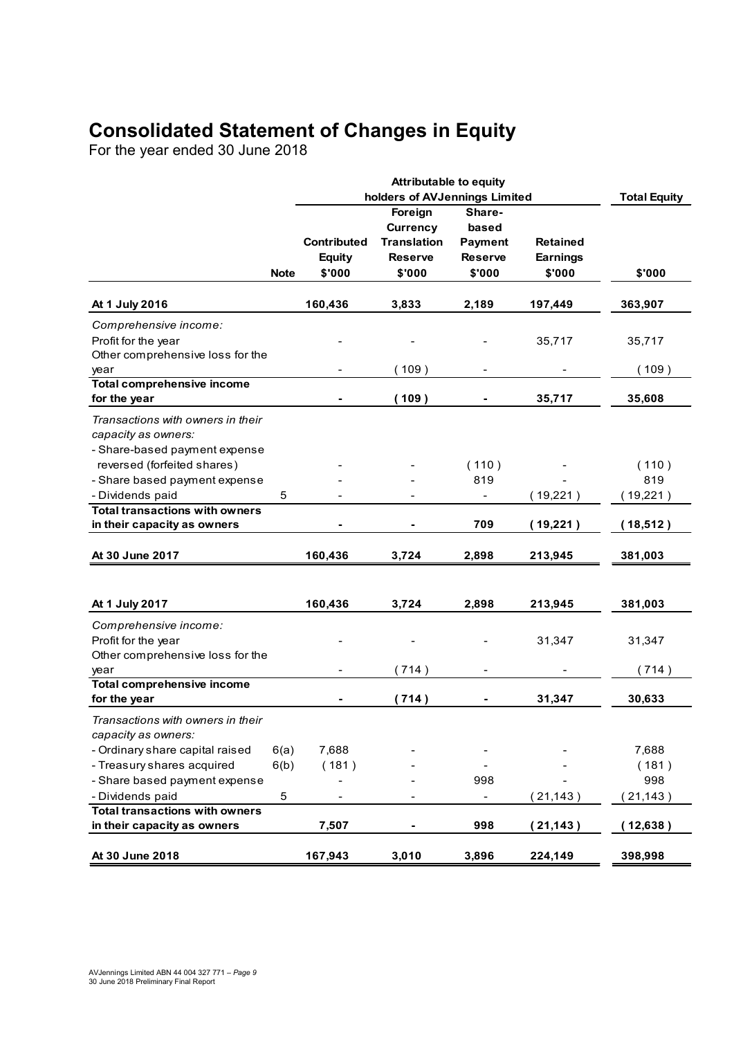## Consolidated Statement of Changes in Equity

| For the year ended 30 June 2018                                                                                                                                                                                        |                 |                                               | <b>Consolidated Statement of Changes in Equity</b>                                                            |                                                               |                                              |                               |
|------------------------------------------------------------------------------------------------------------------------------------------------------------------------------------------------------------------------|-----------------|-----------------------------------------------|---------------------------------------------------------------------------------------------------------------|---------------------------------------------------------------|----------------------------------------------|-------------------------------|
|                                                                                                                                                                                                                        |                 |                                               | <b>Attributable to equity</b>                                                                                 |                                                               |                                              |                               |
|                                                                                                                                                                                                                        | <b>Note</b>     | <b>Contributed</b><br><b>Equity</b><br>\$'000 | holders of AVJennings Limited<br>Foreign<br><b>Currency</b><br><b>Translation</b><br><b>Reserve</b><br>\$'000 | Share-<br>based<br><b>Payment</b><br><b>Reserve</b><br>\$'000 | <b>Retained</b><br><b>Earnings</b><br>\$'000 | <b>Total Equity</b><br>\$'000 |
| At 1 July 2016                                                                                                                                                                                                         |                 | 160,436                                       | 3,833                                                                                                         | 2,189                                                         | 197,449                                      | 363,907                       |
| Comprehensive income:<br>Profit for the year<br>Other comprehensive loss for the                                                                                                                                       |                 |                                               |                                                                                                               |                                                               | 35,717                                       | 35,717                        |
| year<br><b>Total comprehensive income</b>                                                                                                                                                                              |                 |                                               | (109)                                                                                                         | ۰                                                             |                                              | (109)                         |
| for the year                                                                                                                                                                                                           |                 |                                               | (109)                                                                                                         |                                                               | 35,717                                       | 35,608                        |
| Transactions with owners in their<br>capacity as owners:<br>- Share-based payment expense<br>reversed (forfeited shares)<br>- Share based payment expense<br>- Dividends paid<br><b>Total transactions with owners</b> | $5\phantom{.0}$ |                                               |                                                                                                               | (110)<br>819<br>$\blacksquare$                                | $\overline{\phantom{0}}$<br>(19,221)         | (110)<br>819<br>(19,221)      |
| in their capacity as owners                                                                                                                                                                                            |                 |                                               |                                                                                                               | 709                                                           | (19,221)                                     | (18,512)                      |
| At 30 June 2017                                                                                                                                                                                                        |                 | 160,436                                       | 3,724                                                                                                         | 2,898                                                         | 213,945                                      | 381,003                       |
| At 1 July 2017                                                                                                                                                                                                         |                 | 160,436                                       | 3,724                                                                                                         | 2,898                                                         | 213,945                                      | 381,003                       |
| Comprehensive income:<br>Profit for the year<br>Other comprehensive loss for the                                                                                                                                       |                 |                                               |                                                                                                               | $\overline{\phantom{a}}$                                      | 31,347                                       | 31,347                        |
| year                                                                                                                                                                                                                   |                 |                                               | (714)                                                                                                         | $\blacksquare$                                                |                                              | (714)                         |
| <b>Total comprehensive income</b><br>for the year                                                                                                                                                                      |                 | $\sim$                                        | (714)                                                                                                         | $\blacksquare$                                                | 31,347                                       | 30,633                        |
| Transactions with owners in their<br>capacity as owners:                                                                                                                                                               |                 |                                               |                                                                                                               |                                                               |                                              |                               |
| - Ordinary share capital raised<br>- Treasury shares acquired<br>- Share based payment expense                                                                                                                         | 6(a)<br>6(b)    | 7,688<br>(181)                                | $\blacksquare$                                                                                                | $\overline{\phantom{a}}$<br>998                               |                                              | 7,688<br>(181)<br>998         |
| - Dividends paid                                                                                                                                                                                                       | $\overline{5}$  | $\blacksquare$                                | $\overline{\phantom{a}}$                                                                                      | $\blacksquare$                                                | (21, 143)                                    | (21, 143)                     |
| <b>Total transactions with owners</b><br>in their capacity as owners                                                                                                                                                   |                 | 7,507                                         |                                                                                                               | 998                                                           | (21, 143)                                    | (12,638)                      |
| At 30 June 2018                                                                                                                                                                                                        |                 | 167,943                                       | 3,010                                                                                                         | 3,896                                                         | 224,149                                      |                               |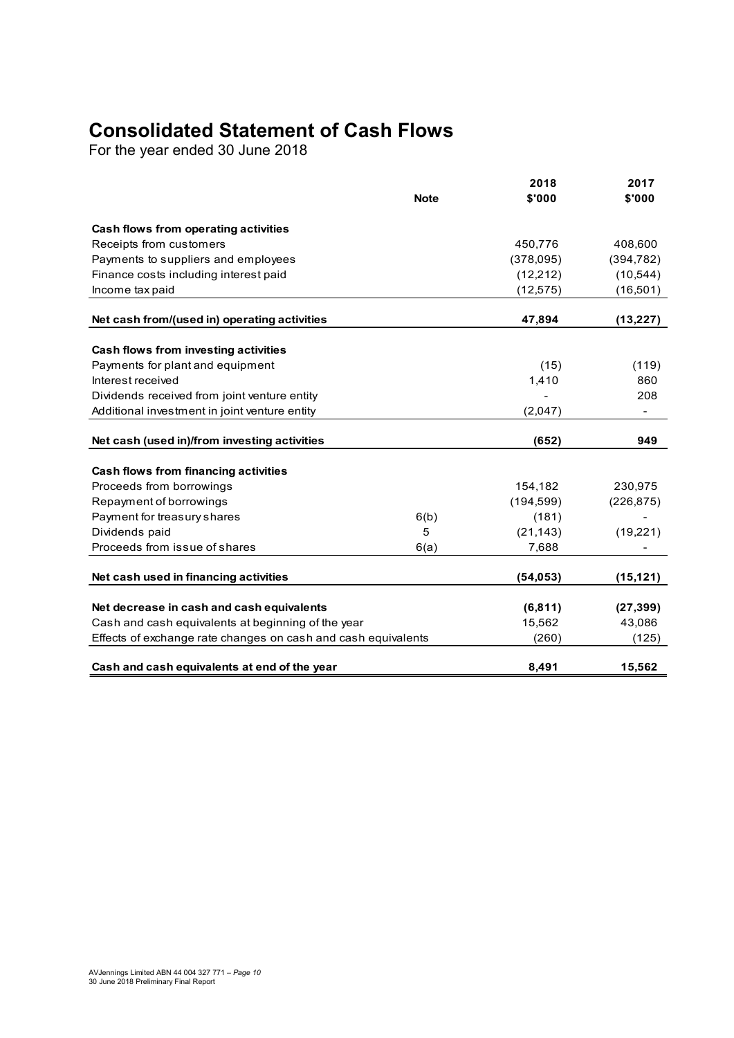## Consolidated Statement of Cash Flows

| <b>Consolidated Statement of Cash Flows</b><br>For the year ended 30 June 2018 |             |                |                |
|--------------------------------------------------------------------------------|-------------|----------------|----------------|
|                                                                                |             |                |                |
|                                                                                |             |                |                |
|                                                                                |             |                |                |
|                                                                                |             |                |                |
|                                                                                |             |                |                |
|                                                                                |             |                |                |
|                                                                                | <b>Note</b> | 2018<br>\$'000 | 2017<br>\$'000 |
|                                                                                |             |                |                |
| Cash flows from operating activities<br>Receipts from customers                |             | 450,776        | 408,600        |
| Payments to suppliers and employees                                            |             | (378,095)      | (394, 782)     |
| Finance costs including interest paid                                          |             | (12, 212)      | (10, 544)      |
| Income tax paid                                                                |             | (12, 575)      | (16, 501)      |
| Net cash from/(used in) operating activities                                   |             | 47,894         | (13, 227)      |
| Cash flows from investing activities                                           |             |                |                |
| Payments for plant and equipment                                               |             | (15)           | (119)          |
| Interest received                                                              |             | 1,410          | 860            |
| Dividends received from joint venture entity                                   |             |                | 208            |
| Additional investment in joint venture entity                                  |             | (2,047)        | $\blacksquare$ |
| Net cash (used in)/from investing activities                                   |             | (652)          | 949            |
| Cash flows from financing activities                                           |             |                |                |
| Proceeds from borrowings                                                       |             | 154,182        | 230,975        |
| Repayment of borrowings                                                        |             | (194, 599)     | (226, 875)     |
| Payment for treasury shares                                                    | 6(b)        | (181)          |                |
| Dividends paid                                                                 | 5           | (21, 143)      | (19, 221)      |
| Proceeds from issue of shares                                                  | 6(a)        | 7,688          | -              |
| Net cash used in financing activities                                          |             | (54, 053)      | (15, 121)      |
| Net decrease in cash and cash equivalents                                      |             | (6, 811)       | (27, 399)      |
| Cash and cash equivalents at beginning of the year                             |             | 15,562         | 43,086         |
| Effects of exchange rate changes on cash and cash equivalents                  |             | (260)          | (125)          |
|                                                                                |             | 8,491          | 15,562         |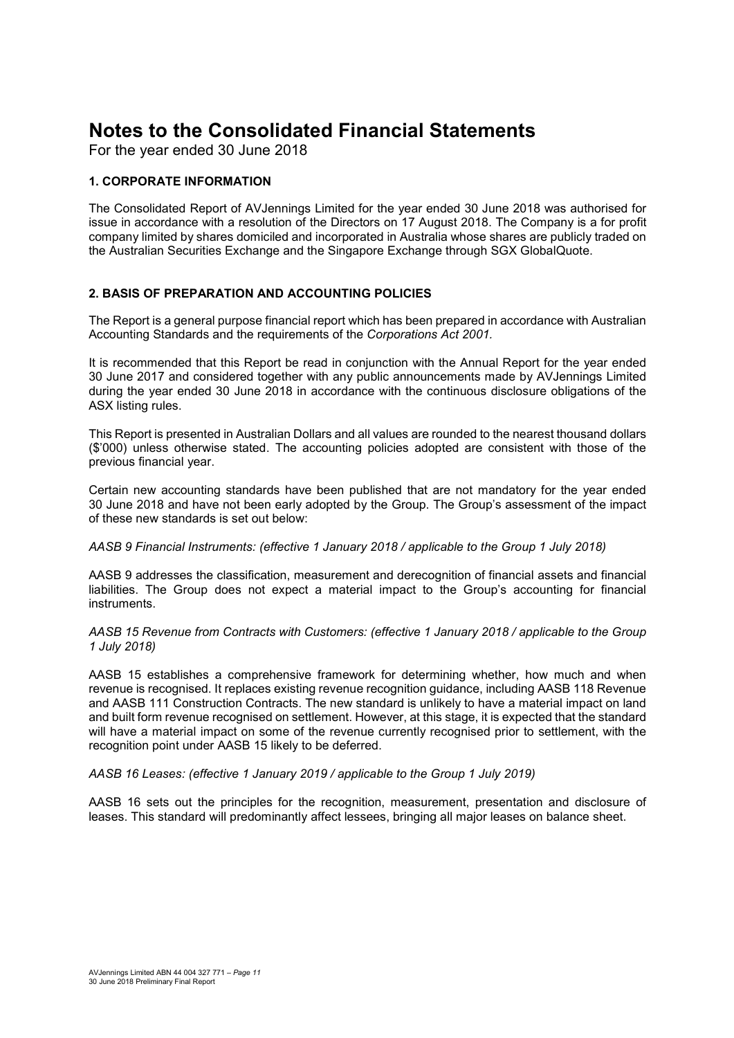For the year ended 30 June 2018

#### 1. CORPORATE INFORMATION

The Consolidated Report of AVJennings Limited for the year ended 30 June 2018 was authorised for issue in accordance with a resolution of the Directors on 17 August 2018. The Company is a for profit company limited by shares domiciled and incorporated in Australia whose shares are publicly traded on the Australian Securities Exchange and the Singapore Exchange through SGX GlobalQuote.

#### 2. BASIS OF PREPARATION AND ACCOUNTING POLICIES

The Report is a general purpose financial report which has been prepared in accordance with Australian Accounting Standards and the requirements of the Corporations Act 2001.

It is recommended that this Report be read in conjunction with the Annual Report for the year ended 30 June 2017 and considered together with any public announcements made by AVJennings Limited during the year ended 30 June 2018 in accordance with the continuous disclosure obligations of the ASX listing rules.

This Report is presented in Australian Dollars and all values are rounded to the nearest thousand dollars (\$'000) unless otherwise stated. The accounting policies adopted are consistent with those of the previous financial year.

Certain new accounting standards have been published that are not mandatory for the year ended 30 June 2018 and have not been early adopted by the Group. The Group's assessment of the impact of these new standards is set out below:

AASB 9 Financial Instruments: (effective 1 January 2018 / applicable to the Group 1 July 2018)

AASB 9 addresses the classification, measurement and derecognition of financial assets and financial liabilities. The Group does not expect a material impact to the Group's accounting for financial instruments.

AASB 15 Revenue from Contracts with Customers: (effective 1 January 2018 / applicable to the Group 1 July 2018)

AASB 15 establishes a comprehensive framework for determining whether, how much and when revenue is recognised. It replaces existing revenue recognition guidance, including AASB 118 Revenue and AASB 111 Construction Contracts. The new standard is unlikely to have a material impact on land and built form revenue recognised on settlement. However, at this stage, it is expected that the standard will have a material impact on some of the revenue currently recognised prior to settlement, with the recognition point under AASB 15 likely to be deferred.

#### AASB 16 Leases: (effective 1 January 2019 / applicable to the Group 1 July 2019)

AASB 16 sets out the principles for the recognition, measurement, presentation and disclosure of leases. This standard will predominantly affect lessees, bringing all major leases on balance sheet.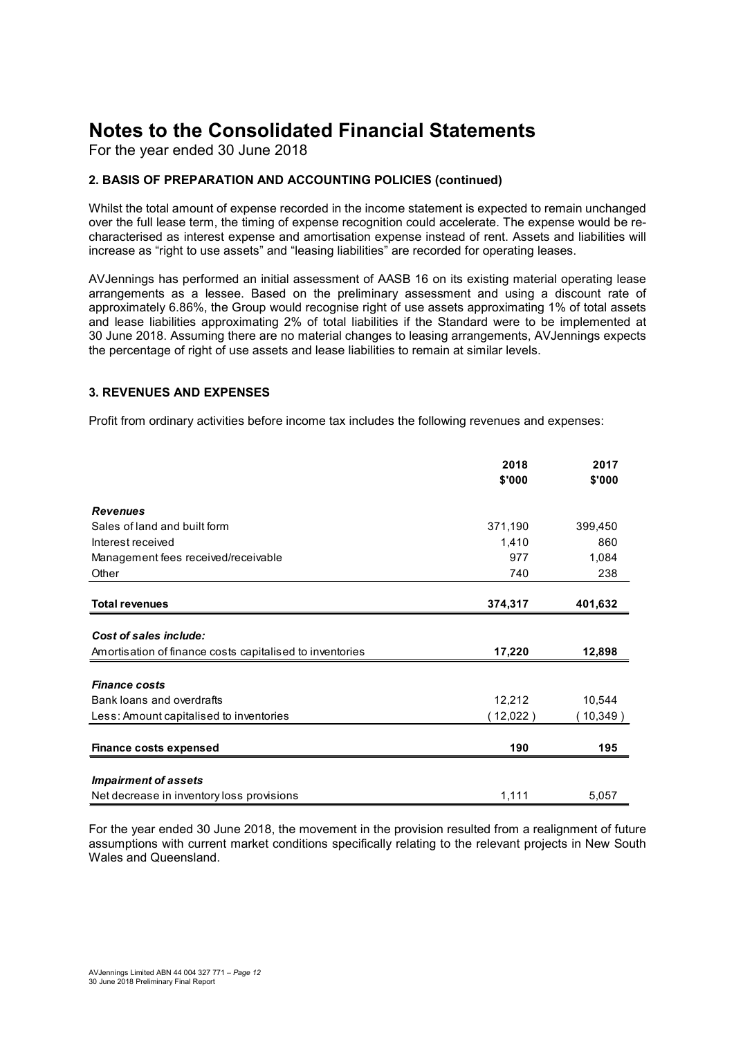For the year ended 30 June 2018

#### 2. BASIS OF PREPARATION AND ACCOUNTING POLICIES (continued)

#### 3. REVENUES AND EXPENSES

| 2. BASIS OF PREPARATION AND ACCOUNTING POLICIES (continued)                                                                                                                                                                                                                                                                                                                                                                                                                                                                                                                                                      |                |                |
|------------------------------------------------------------------------------------------------------------------------------------------------------------------------------------------------------------------------------------------------------------------------------------------------------------------------------------------------------------------------------------------------------------------------------------------------------------------------------------------------------------------------------------------------------------------------------------------------------------------|----------------|----------------|
| Whilst the total amount of expense recorded in the income statement is expected to remain unchanged<br>over the full lease term, the timing of expense recognition could accelerate. The expense would be re-<br>characterised as interest expense and amortisation expense instead of rent. Assets and liabilities will<br>increase as "right to use assets" and "leasing liabilities" are recorded for operating leases.                                                                                                                                                                                       |                |                |
| AVJennings has performed an initial assessment of AASB 16 on its existing material operating lease<br>arrangements as a lessee. Based on the preliminary assessment and using a discount rate of<br>approximately 6.86%, the Group would recognise right of use assets approximating 1% of total assets<br>and lease liabilities approximating 2% of total liabilities if the Standard were to be implemented at<br>30 June 2018. Assuming there are no material changes to leasing arrangements, AVJennings expects<br>the percentage of right of use assets and lease liabilities to remain at similar levels. |                |                |
| <b>3. REVENUES AND EXPENSES</b>                                                                                                                                                                                                                                                                                                                                                                                                                                                                                                                                                                                  |                |                |
| Profit from ordinary activities before income tax includes the following revenues and expenses:                                                                                                                                                                                                                                                                                                                                                                                                                                                                                                                  |                |                |
|                                                                                                                                                                                                                                                                                                                                                                                                                                                                                                                                                                                                                  | 2018<br>\$'000 | 2017<br>\$'000 |
| <b>Revenues</b>                                                                                                                                                                                                                                                                                                                                                                                                                                                                                                                                                                                                  |                |                |
|                                                                                                                                                                                                                                                                                                                                                                                                                                                                                                                                                                                                                  |                |                |
| Sales of land and built form                                                                                                                                                                                                                                                                                                                                                                                                                                                                                                                                                                                     | 371,190        | 399,450        |
| Interest received                                                                                                                                                                                                                                                                                                                                                                                                                                                                                                                                                                                                | 1,410          | 860            |
| Management fees received/receivable                                                                                                                                                                                                                                                                                                                                                                                                                                                                                                                                                                              | 977            | 1,084          |
| Other                                                                                                                                                                                                                                                                                                                                                                                                                                                                                                                                                                                                            | 740            | 238            |
| <b>Total revenues</b>                                                                                                                                                                                                                                                                                                                                                                                                                                                                                                                                                                                            | 374,317        | 401,632        |
| Cost of sales include:                                                                                                                                                                                                                                                                                                                                                                                                                                                                                                                                                                                           |                |                |
| Amortisation of finance costs capitalised to inventories                                                                                                                                                                                                                                                                                                                                                                                                                                                                                                                                                         | 17,220         | 12,898         |
| <b>Finance costs</b>                                                                                                                                                                                                                                                                                                                                                                                                                                                                                                                                                                                             |                |                |
| Bank loans and overdrafts                                                                                                                                                                                                                                                                                                                                                                                                                                                                                                                                                                                        | 12,212         | 10,544         |
| Less: Amount capitalised to inventories                                                                                                                                                                                                                                                                                                                                                                                                                                                                                                                                                                          | (12,022)       | (10, 349)      |
| <b>Finance costs expensed</b>                                                                                                                                                                                                                                                                                                                                                                                                                                                                                                                                                                                    | 190            | 195            |
| <b>Impairment of assets</b>                                                                                                                                                                                                                                                                                                                                                                                                                                                                                                                                                                                      |                |                |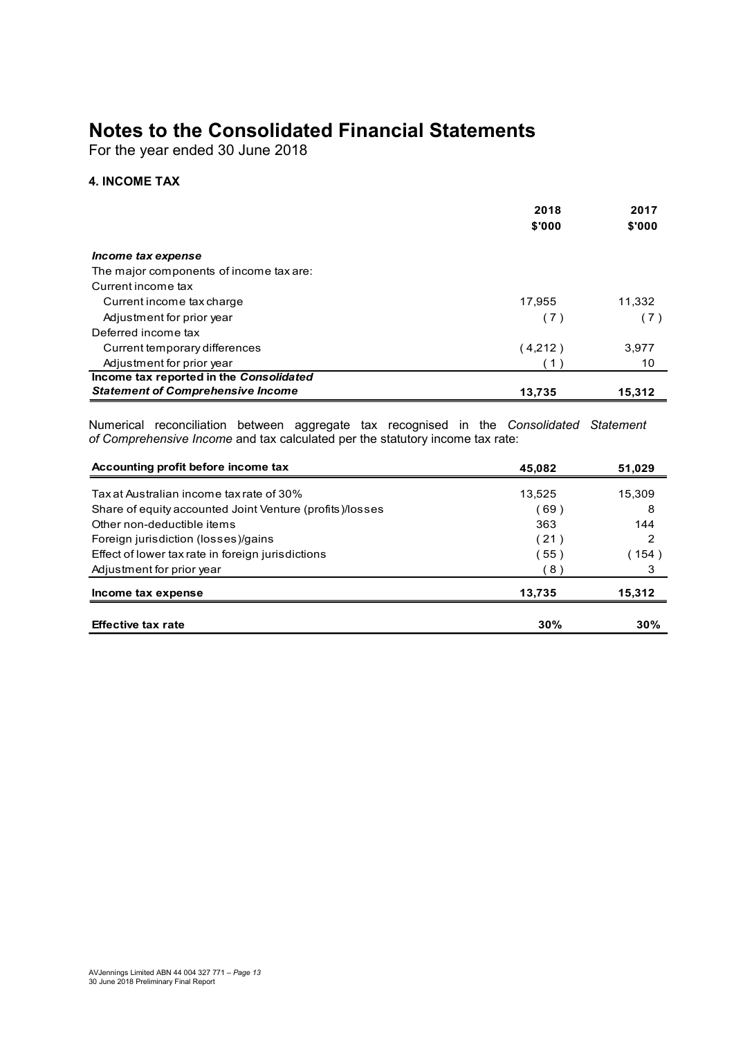#### 4. INCOME TAX

| <b>Notes to the Consolidated Financial Statements</b><br>For the year ended 30 June 2018                                                                                 |             |                       |
|--------------------------------------------------------------------------------------------------------------------------------------------------------------------------|-------------|-----------------------|
| <b>4. INCOME TAX</b>                                                                                                                                                     |             |                       |
|                                                                                                                                                                          | 2018        | 2017                  |
|                                                                                                                                                                          | \$'000      | \$'000                |
| Income tax expense                                                                                                                                                       |             |                       |
| The major components of income tax are:                                                                                                                                  |             |                       |
| Current income tax                                                                                                                                                       |             |                       |
| Current income tax charge                                                                                                                                                | 17,955      | 11,332                |
| Adjustment for prior year<br>Deferred income tax                                                                                                                         | (7)         | (7)                   |
| Current temporary differences                                                                                                                                            | (4,212)     | 3,977                 |
| Adjustment for prior year                                                                                                                                                | (1)         | 10 <sup>°</sup>       |
| Income tax reported in the Consolidated                                                                                                                                  |             |                       |
| <b>Statement of Comprehensive Income</b>                                                                                                                                 | 13,735      | 15,312                |
| Numerical reconciliation between aggregate tax recognised in the Consolidated Statement<br>of Comprehensive Income and tax calculated per the statutory income tax rate: |             |                       |
| Accounting profit before income tax                                                                                                                                      | 45,082      | 51,029                |
| Tax at Australian income tax rate of 30%                                                                                                                                 | 13,525      | 15,309                |
| Share of equity accounted Joint Venture (profits)/losses                                                                                                                 | (69)        | 8                     |
| Other non-deductible items                                                                                                                                               | 363         | 144                   |
| Foreign jurisdiction (losses)/gains                                                                                                                                      | (21)        | $\overline{2}$        |
| Effect of lower tax rate in foreign jurisdictions<br>Adjustment for prior year                                                                                           | (55)<br>(8) | (154)<br>$\mathbf{3}$ |
|                                                                                                                                                                          |             |                       |
|                                                                                                                                                                          | 13,735      | 15,312                |
| Income tax expense                                                                                                                                                       |             |                       |

| Current income tax                                                                     |             |                 |
|----------------------------------------------------------------------------------------|-------------|-----------------|
| Current income tax charge                                                              | 17,955      | 11,332          |
| Adjustment for prior year                                                              | (7)         | (7)             |
| Deferred income tax                                                                    |             |                 |
| Current temporary differences                                                          | (4,212)     | 3,977           |
| Adjustment for prior year                                                              | (1)         | 10 <sup>°</sup> |
| Income tax reported in the Consolidated                                                |             |                 |
| <b>Statement of Comprehensive Income</b>                                               | 13,735      | 15,312          |
| of Comprehensive Income and tax calculated per the statutory income tax rate:          |             |                 |
| Accounting profit before income tax                                                    | 45,082      | 51,029          |
| Tax at Australian income tax rate of 30%                                               |             |                 |
|                                                                                        | 13,525      | 15,309<br>8     |
| Share of equity accounted Joint Venture (profits)/losses<br>Other non-deductible items | (69)<br>363 | 144             |
| Foreign jurisdiction (losses)/gains                                                    | (21)        | 2               |
| Effect of lower tax rate in foreign jurisdictions                                      | 〔55)        | (154)           |
| Adjustment for prior year                                                              | (8)         | 3               |
| Income tax expense                                                                     | 13,735      | 15,312          |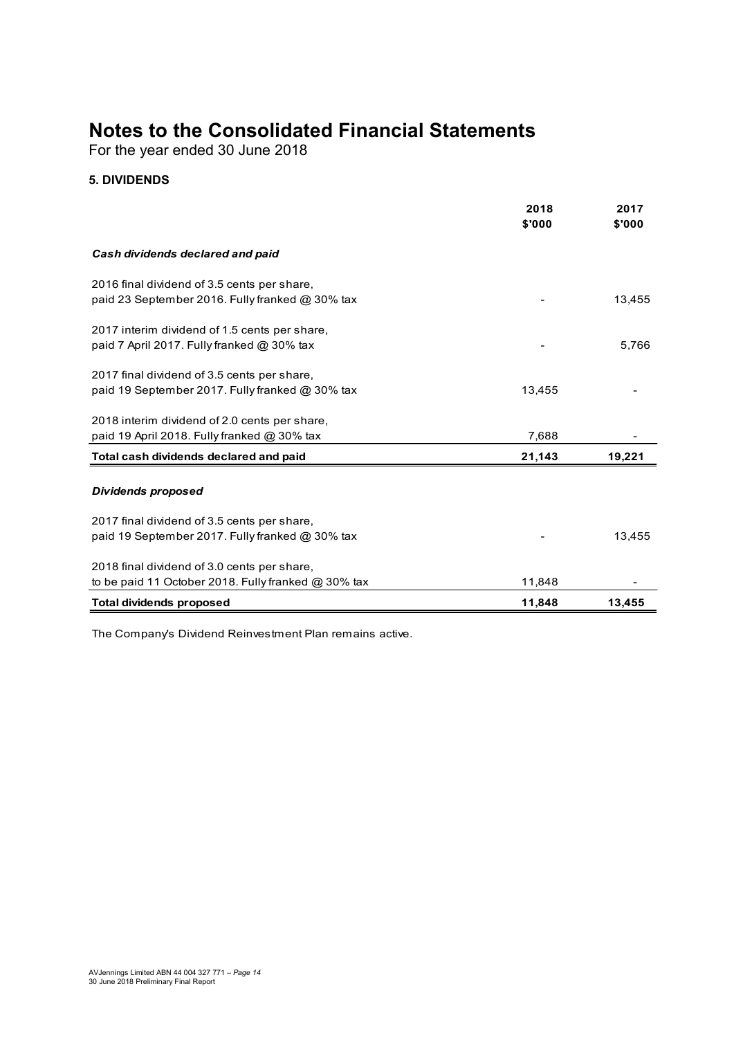#### 5. DIVIDENDS

| <b>Notes to the Consolidated Financial Statements</b><br>For the year ended 30 June 2018           |                |                |
|----------------------------------------------------------------------------------------------------|----------------|----------------|
| <b>5. DIVIDENDS</b>                                                                                |                |                |
|                                                                                                    | 2018<br>\$'000 | 2017<br>\$'000 |
| Cash dividends declared and paid                                                                   |                |                |
| 2016 final dividend of 3.5 cents per share,                                                        |                |                |
| paid 23 September 2016. Fully franked @ 30% tax                                                    |                | 13,455         |
| 2017 interim dividend of 1.5 cents per share,<br>paid 7 April 2017. Fully franked @ 30% tax        |                | 5,766          |
| 2017 final dividend of 3.5 cents per share,                                                        | 13,455         |                |
| paid 19 September 2017. Fully franked @ 30% tax                                                    |                |                |
| 2018 interim dividend of 2.0 cents per share,<br>paid 19 April 2018. Fully franked @ 30% tax       | 7,688          |                |
| Total cash dividends declared and paid                                                             | 21,143         | 19,221         |
| <b>Dividends proposed</b>                                                                          |                |                |
| 2017 final dividend of 3.5 cents per share,                                                        |                |                |
| paid 19 September 2017. Fully franked @ 30% tax                                                    |                | 13,455         |
| 2018 final dividend of 3.0 cents per share,<br>to be paid 11 October 2018. Fully franked @ 30% tax |                |                |
|                                                                                                    | 11,848         |                |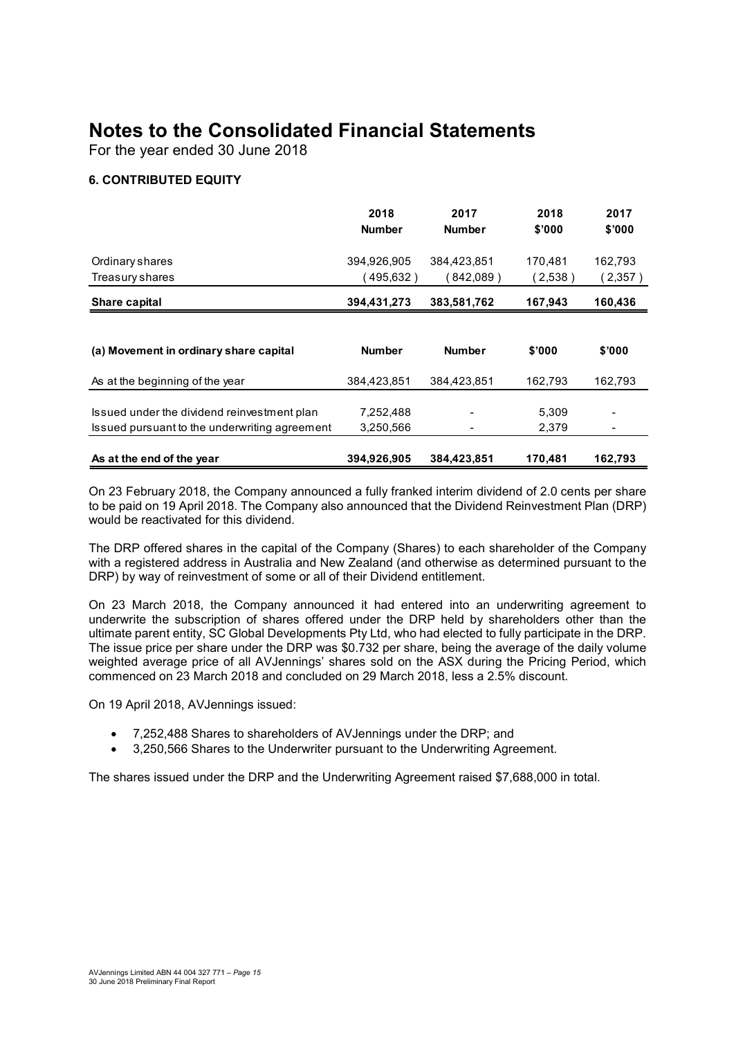#### 6. CONTRIBUTED EQUITY

| <b>Notes to the Consolidated Financial Statements</b><br>For the year ended 30 June 2018 |               |               |         |         |
|------------------------------------------------------------------------------------------|---------------|---------------|---------|---------|
|                                                                                          |               |               |         |         |
|                                                                                          |               |               |         |         |
|                                                                                          |               |               |         |         |
| <b>6. CONTRIBUTED EQUITY</b>                                                             |               |               |         |         |
|                                                                                          | 2018          | 2017          | 2018    | 2017    |
|                                                                                          | <b>Number</b> | <b>Number</b> | \$'000  | \$'000  |
| Ordinary shares                                                                          | 394,926,905   | 384,423,851   | 170,481 | 162,793 |
| Treasury shares                                                                          | (495, 632)    | (842,089)     | (2,538) | (2,357) |
| Share capital                                                                            | 394,431,273   | 383,581,762   | 167,943 | 160,436 |
|                                                                                          |               |               |         |         |
| (a) Movement in ordinary share capital                                                   | <b>Number</b> | <b>Number</b> | \$'000  | \$'000  |
| As at the beginning of the year                                                          | 384,423,851   | 384,423,851   | 162,793 | 162,793 |
|                                                                                          | 7,252,488     |               | 5,309   |         |
|                                                                                          |               |               | 2,379   |         |
| Issued under the dividend reinvestment plan                                              |               |               |         |         |
| Issued pursuant to the underwriting agreement                                            | 3,250,566     |               |         |         |

The DRP offered shares in the capital of the Company (Shares) to each shareholder of the Company with a registered address in Australia and New Zealand (and otherwise as determined pursuant to the DRP) by way of reinvestment of some or all of their Dividend entitlement.

On 23 March 2018, the Company announced it had entered into an underwriting agreement to underwrite the subscription of shares offered under the DRP held by shareholders other than the ultimate parent entity, SC Global Developments Pty Ltd, who had elected to fully participate in the DRP. The issue price per share under the DRP was \$0.732 per share, being the average of the daily volume weighted average price of all AVJennings' shares sold on the ASX during the Pricing Period, which commenced on 23 March 2018 and concluded on 29 March 2018, less a 2.5% discount.

On 19 April 2018, AVJennings issued:

- 7,252,488 Shares to shareholders of AVJennings under the DRP; and
- 3,250,566 Shares to the Underwriter pursuant to the Underwriting Agreement.

The shares issued under the DRP and the Underwriting Agreement raised \$7,688,000 in total.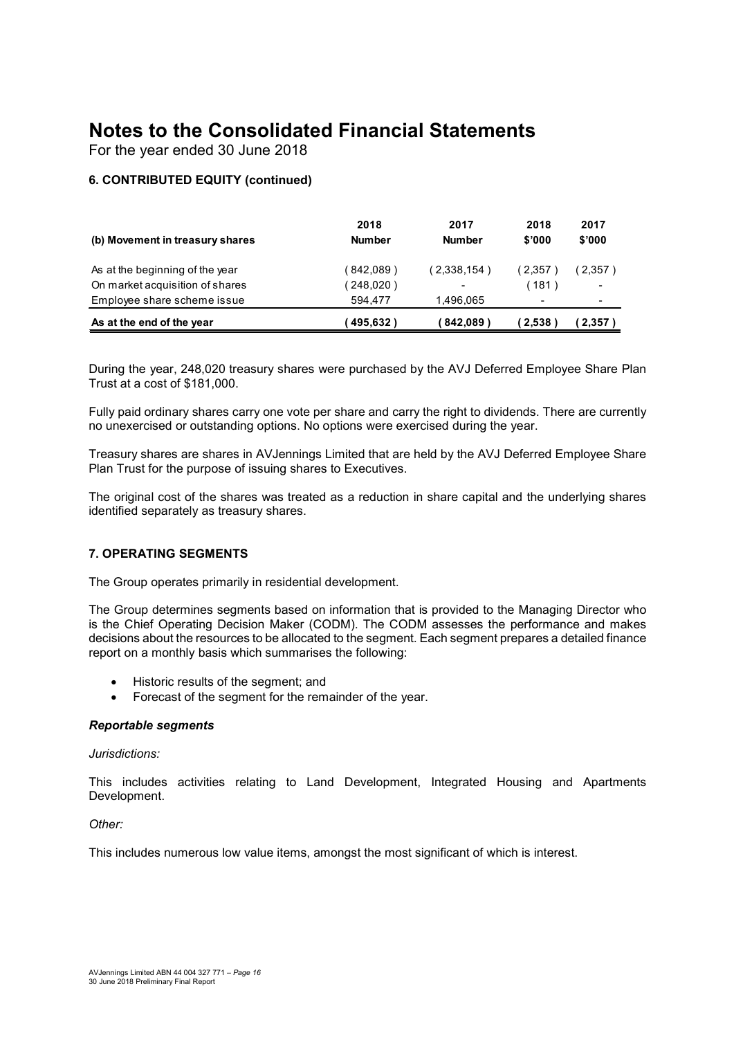#### 6. CONTRIBUTED EQUITY (continued)

| 2017<br>\$'000                                |
|-----------------------------------------------|
| (2,357)                                       |
|                                               |
| (2,357)                                       |
| 2018<br>\$'000<br>(2,357)<br>(181)<br>(2,538) |

Fully paid ordinary shares carry one vote per share and carry the right to dividends. There are currently no unexercised or outstanding options. No options were exercised during the year.

Treasury shares are shares in AVJennings Limited that are held by the AVJ Deferred Employee Share Plan Trust for the purpose of issuing shares to Executives.

The original cost of the shares was treated as a reduction in share capital and the underlying shares identified separately as treasury shares.

#### 7. OPERATING SEGMENTS

The Group operates primarily in residential development.

The Group determines segments based on information that is provided to the Managing Director who is the Chief Operating Decision Maker (CODM). The CODM assesses the performance and makes decisions about the resources to be allocated to the segment. Each segment prepares a detailed finance report on a monthly basis which summarises the following:

- Historic results of the segment; and
- Forecast of the segment for the remainder of the year.

#### Reportable segments

#### Jurisdictions:

This includes activities relating to Land Development, Integrated Housing and Apartments Development.

Other:

This includes numerous low value items, amongst the most significant of which is interest.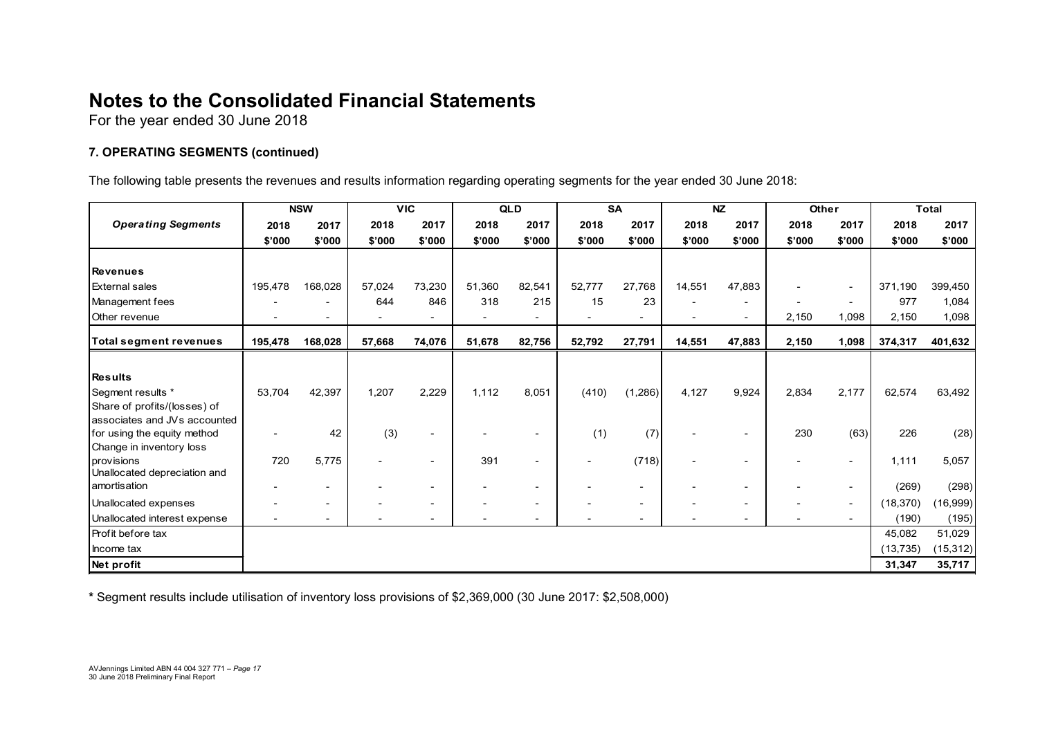#### 7. OPERATING SEGMENTS (continued)

| <b>Notes to the Consolidated Financial Statements</b>                                                                           |                          |                          |                          |                          |                          |                          |                          |                          |                          |                          |                          |                          |                     |                      |
|---------------------------------------------------------------------------------------------------------------------------------|--------------------------|--------------------------|--------------------------|--------------------------|--------------------------|--------------------------|--------------------------|--------------------------|--------------------------|--------------------------|--------------------------|--------------------------|---------------------|----------------------|
|                                                                                                                                 |                          |                          |                          |                          |                          |                          |                          |                          |                          |                          |                          |                          |                     |                      |
| For the year ended 30 June 2018                                                                                                 |                          |                          |                          |                          |                          |                          |                          |                          |                          |                          |                          |                          |                     |                      |
|                                                                                                                                 |                          |                          |                          |                          |                          |                          |                          |                          |                          |                          |                          |                          |                     |                      |
| 7. OPERATING SEGMENTS (continued)                                                                                               |                          |                          |                          |                          |                          |                          |                          |                          |                          |                          |                          |                          |                     |                      |
|                                                                                                                                 |                          |                          |                          |                          |                          |                          |                          |                          |                          |                          |                          |                          |                     |                      |
|                                                                                                                                 |                          |                          |                          |                          |                          |                          |                          |                          |                          |                          |                          |                          |                     |                      |
| The following table presents the revenues and results information regarding operating segments for the year ended 30 June 2018: |                          |                          |                          |                          |                          |                          |                          |                          |                          |                          |                          |                          |                     |                      |
|                                                                                                                                 |                          |                          |                          |                          |                          |                          |                          |                          |                          |                          |                          |                          |                     |                      |
| <b>Operating Segments</b>                                                                                                       | 2018                     | <b>NSW</b><br>2017       | 2018                     | <b>VIC</b><br>2017       | 2018                     | QLD<br>2017              | 2018                     | SA<br>2017               | 2018                     | <b>NZ</b><br>2017        | Other<br>2018            | 2017                     | 2018                | <b>Total</b><br>2017 |
|                                                                                                                                 | \$'000                   | \$'000                   | \$'000                   | \$'000                   | \$'000                   | \$'000                   | \$'000                   | \$'000                   | \$'000                   | \$'000                   | \$'000                   | \$'000                   | \$'000              | \$'000               |
|                                                                                                                                 |                          |                          |                          |                          |                          |                          |                          |                          |                          |                          |                          |                          |                     |                      |
| <b>Revenues</b>                                                                                                                 |                          |                          |                          |                          |                          |                          |                          |                          |                          |                          |                          |                          |                     |                      |
| <b>External sales</b>                                                                                                           | 195,478                  | 168,028                  | 57,024                   | 73,230                   | 51,360                   | 82,541                   | 52,777                   | 27,768                   | 14,551                   | 47,883                   | $\overline{a}$           |                          | 371,190             | 399,450              |
| Management fees                                                                                                                 |                          | $\overline{\phantom{a}}$ | 644                      | 846                      | 318                      | 215                      | 15                       | 23                       |                          | $\overline{\phantom{a}}$ | $\overline{\phantom{a}}$ | $\overline{\phantom{a}}$ | 977                 | 1,084                |
| Other revenue                                                                                                                   |                          | $\overline{\phantom{a}}$ |                          | $\overline{\phantom{a}}$ |                          | $\sim$                   |                          | $\sim$                   | $\sim$                   | $\overline{\phantom{a}}$ | 2,150                    | 1,098                    | 2,150               | 1,098                |
| Total segment revenues                                                                                                          | 195,478                  | 168,028                  | 57,668                   | 74,076                   | 51,678                   | 82,756                   | 52,792                   | 27,791                   | 14,551                   | 47,883                   | 2,150                    | 1,098                    | 374,317             | 401,632              |
|                                                                                                                                 |                          |                          |                          |                          |                          |                          |                          |                          |                          |                          |                          |                          |                     |                      |
| <b>Results</b>                                                                                                                  |                          |                          |                          |                          |                          |                          |                          |                          |                          |                          |                          |                          |                     |                      |
| Segment results *                                                                                                               | 53,704                   | 42,397                   | 1,207                    | 2,229                    | 1,112                    | 8,051                    | (410)                    | (1,286)                  | 4,127                    | 9,924                    | 2,834                    | 2,177                    | 62,574              | 63,492               |
| Share of profits/(losses) of                                                                                                    |                          |                          |                          |                          |                          |                          |                          |                          |                          |                          |                          |                          |                     |                      |
| associates and JVs accounted                                                                                                    |                          |                          |                          |                          |                          |                          |                          |                          |                          |                          |                          |                          |                     |                      |
| for using the equity method<br>Change in inventory loss                                                                         |                          | 42                       | (3)                      | $\overline{\phantom{a}}$ |                          |                          | (1)                      | (7)                      |                          | $\overline{\phantom{a}}$ | 230                      | (63)                     | 226                 | (28)                 |
| provisions                                                                                                                      | 720                      | 5,775                    | $\sim$                   | $\overline{\phantom{a}}$ | 391                      | $\overline{\phantom{a}}$ | $\overline{\phantom{a}}$ | (718)                    | $\overline{\phantom{a}}$ | $\overline{\phantom{a}}$ |                          | $\overline{\phantom{a}}$ | 1,111               | 5,057                |
|                                                                                                                                 |                          |                          |                          |                          |                          |                          |                          |                          |                          |                          |                          |                          |                     |                      |
| Unallocated depreciation and                                                                                                    |                          | $\sim$                   | $\overline{\phantom{a}}$ | $\overline{\phantom{a}}$ | $\overline{\phantom{0}}$ | $\overline{\phantom{a}}$ |                          | $\sim$                   | $\sim$                   | $\overline{\phantom{a}}$ | $\overline{\phantom{a}}$ | $\sim$                   | (269)               | (298)                |
| amortisation                                                                                                                    |                          |                          |                          | $\overline{\phantom{a}}$ |                          | $\overline{\phantom{a}}$ |                          | $\overline{\phantom{a}}$ |                          |                          | $\overline{\phantom{a}}$ | $\overline{\phantom{a}}$ | (18, 370)           | (16, 999)            |
| Unallocated expenses                                                                                                            |                          | $\sim$                   |                          |                          |                          |                          |                          |                          |                          |                          | $\blacksquare$           | $\overline{\phantom{0}}$ | (190)               | (195)                |
| Unallocated interest expense                                                                                                    | $\overline{\phantom{a}}$ | $\overline{\phantom{a}}$ |                          | $\overline{\phantom{a}}$ |                          |                          |                          | $\overline{\phantom{a}}$ | $\overline{\phantom{0}}$ |                          |                          |                          |                     |                      |
| Profit before tax                                                                                                               |                          |                          |                          |                          |                          |                          |                          |                          |                          |                          |                          |                          | 45,082              | 51,029               |
| Income tax<br>Net profit                                                                                                        |                          |                          |                          |                          |                          |                          |                          |                          |                          |                          |                          |                          | (13, 735)<br>31,347 | (15, 312)<br>35,717  |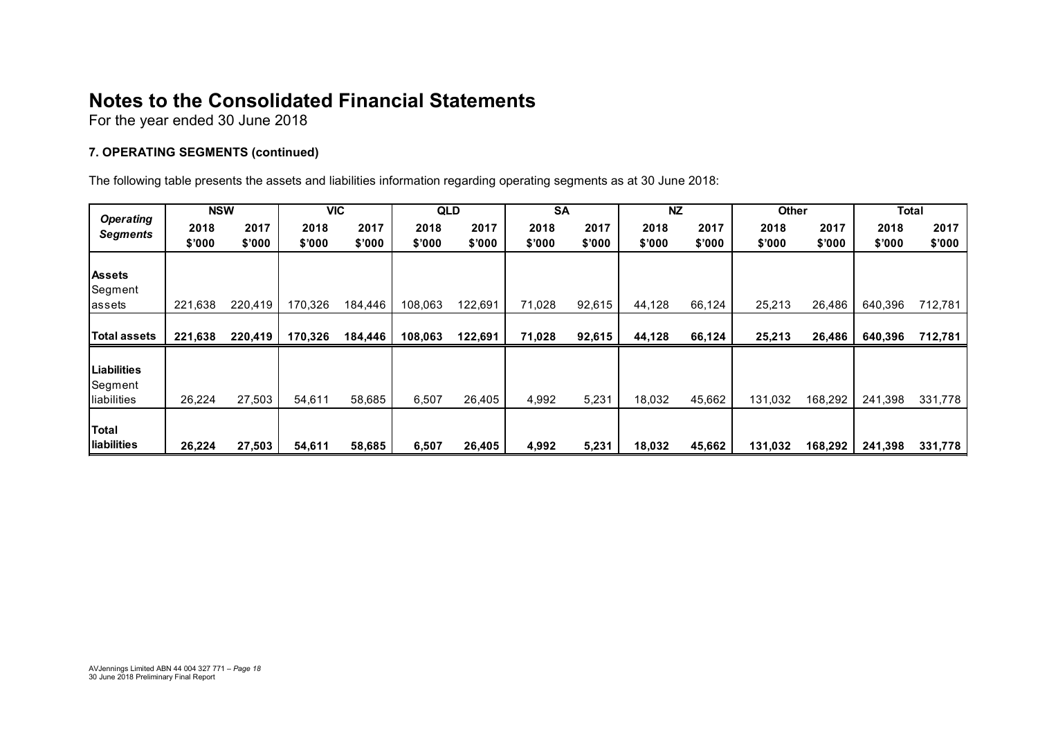#### 7. OPERATING SEGMENTS (continued)

| <b>Notes to the Consolidated Financial Statements</b>                                                                |                |                |                |                |                |                |                        |                |                |                |                |                |                |                |
|----------------------------------------------------------------------------------------------------------------------|----------------|----------------|----------------|----------------|----------------|----------------|------------------------|----------------|----------------|----------------|----------------|----------------|----------------|----------------|
|                                                                                                                      |                |                |                |                |                |                |                        |                |                |                |                |                |                |                |
|                                                                                                                      |                |                |                |                |                |                |                        |                |                |                |                |                |                |                |
|                                                                                                                      |                |                |                |                |                |                |                        |                |                |                |                |                |                |                |
| For the year ended 30 June 2018                                                                                      |                |                |                |                |                |                |                        |                |                |                |                |                |                |                |
| 7. OPERATING SEGMENTS (continued)                                                                                    |                |                |                |                |                |                |                        |                |                |                |                |                |                |                |
| The following table presents the assets and liabilities information regarding operating segments as at 30 June 2018: |                |                |                |                |                |                |                        |                |                |                |                |                |                |                |
| <b>Operating</b>                                                                                                     |                | <b>NSW</b>     | VIC            |                | QLD            |                | $\overline{\text{SA}}$ |                | NZ             |                | Other          |                | Total          |                |
| <b>Segments</b>                                                                                                      | 2018<br>\$'000 | 2017<br>\$'000 | 2018<br>\$'000 | 2017<br>\$'000 | 2018<br>\$'000 | 2017<br>\$'000 | 2018<br>\$'000         | 2017<br>\$'000 | 2018<br>\$'000 | 2017<br>\$'000 | 2018<br>\$'000 | 2017<br>\$'000 | 2018<br>\$'000 | 2017<br>\$'000 |
|                                                                                                                      |                |                |                |                |                |                |                        |                |                |                |                |                |                |                |
| <b>Assets</b>                                                                                                        |                |                |                |                |                |                |                        |                |                | 66,124         | 25,213         | 26,486         | 640,396        | 712,781        |
| Segment<br>assets                                                                                                    | 221,638        | 220,419        | 170,326        | 184,446        | 108,063        | 122,691        | 71,028                 | 92,615         | 44,128         |                |                |                |                |                |
| <b>Total assets</b>                                                                                                  | 221,638        | 220,419        | 170,326        | 184,446        | 108,063        | 122,691        | 71,028                 | 92,615         | 44,128         | 66,124         | 25,213         | 26,486         | 640,396        | 712,781        |
| Liabilities                                                                                                          |                |                |                |                |                |                |                        |                |                |                |                |                |                |                |
| Segment<br>liabilities                                                                                               | 26,224         | 27,503         | 54,611         | 58,685         | 6,507          | 26,405         | 4,992                  | 5,231          | 18,032         | 45,662         | 131,032        | 168,292        | 241,398        | 331,778        |
| <b>Total</b>                                                                                                         |                |                |                |                |                |                |                        |                |                |                |                |                |                |                |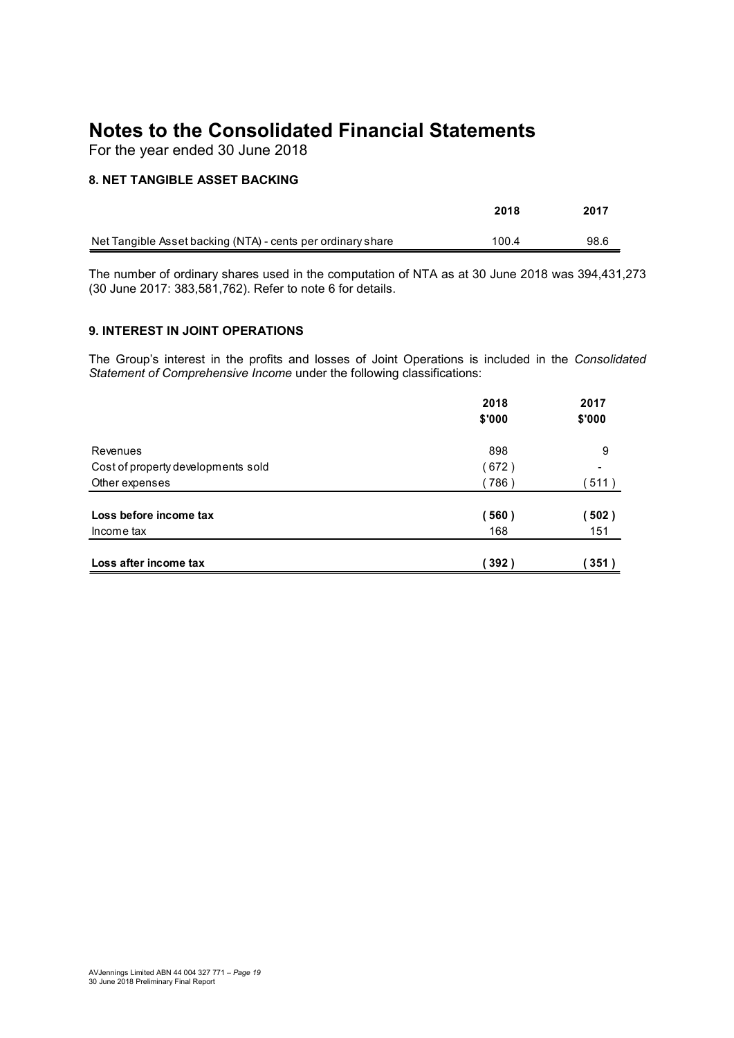#### 8. NET TANGIBLE ASSET BACKING

| <b>Notes to the Consolidated Financial Statements</b> |      |      |
|-------------------------------------------------------|------|------|
| For the year ended 30 June 2018                       |      |      |
| <b>8. NET TANGIBLE ASSET BACKING</b>                  | 2018 | 2017 |

#### 9. INTEREST IN JOINT OPERATIONS

| 8. NET TANGIBLE ASSET BACKING                                                                                                         |        |        |
|---------------------------------------------------------------------------------------------------------------------------------------|--------|--------|
|                                                                                                                                       | 2018   | 2017   |
| Net Tangible Asset backing (NTA) - cents per ordinary share                                                                           | 100.4  | 98.6   |
| (30 June 2017: 383,581,762). Refer to note 6 for details.                                                                             |        |        |
| 9. INTEREST IN JOINT OPERATIONS<br>The Group's interest in the profits and losses of Joint Operations is included in the Consolidated |        |        |
| Statement of Comprehensive Income under the following classifications:                                                                | 2018   | 2017   |
|                                                                                                                                       | \$'000 | \$'000 |
| Revenues                                                                                                                              | 898    | 9      |
| Cost of property developments sold                                                                                                    | (672)  |        |
| Other expenses                                                                                                                        | (786)  | (511)  |
| Loss before income tax                                                                                                                | (560)  | (502)  |
| Income tax                                                                                                                            | 168    | 151    |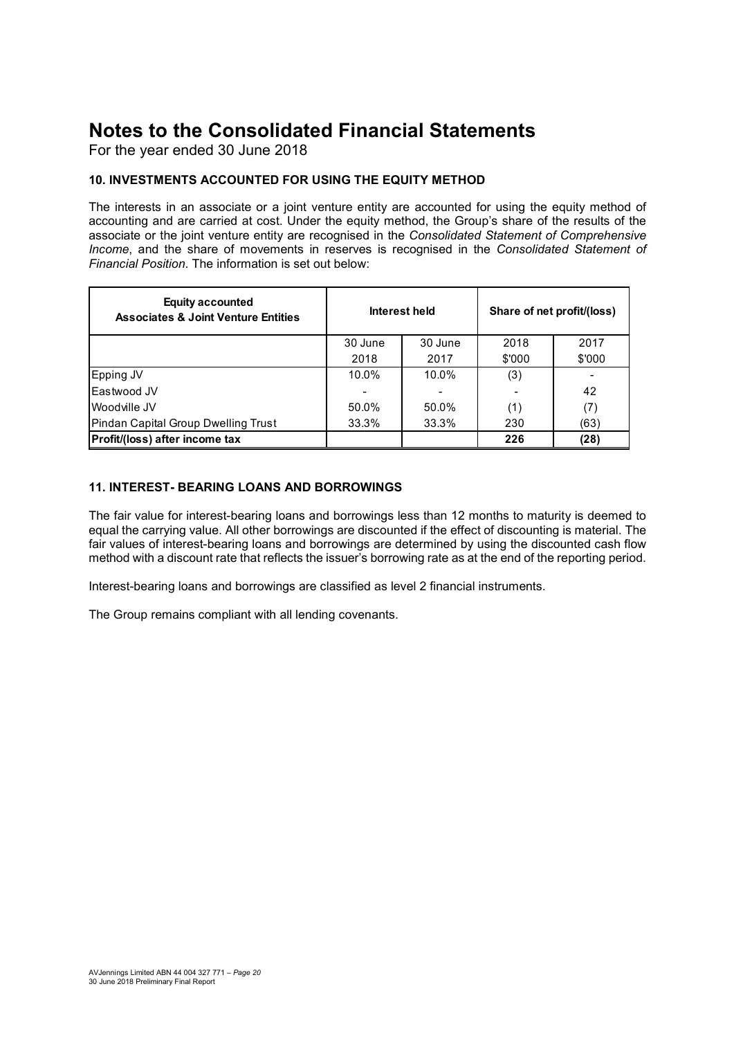#### 10. INVESTMENTS ACCOUNTED FOR USING THE EQUITY METHOD

| <b>Notes to the Consolidated Financial Statements</b><br>For the year ended 30 June 2018                                                                                                                                                                                                                                                   |         |               |            |                            |
|--------------------------------------------------------------------------------------------------------------------------------------------------------------------------------------------------------------------------------------------------------------------------------------------------------------------------------------------|---------|---------------|------------|----------------------------|
| 10. INVESTMENTS ACCOUNTED FOR USING THE EQUITY METHOD                                                                                                                                                                                                                                                                                      |         |               |            |                            |
| The interests in an associate or a joint venture entity are accounted for using the equity method of<br>accounting and are carried at cost. Under the equity method, the Group's share of the results of the                                                                                                                               |         |               |            |                            |
| associate or the joint venture entity are recognised in the Consolidated Statement of Comprehensive<br>Income, and the share of movements in reserves is recognised in the Consolidated Statement of<br>Financial Position. The information is set out below:<br><b>Equity accounted</b><br><b>Associates &amp; Joint Venture Entities</b> |         | Interest held |            | Share of net profit/(loss) |
|                                                                                                                                                                                                                                                                                                                                            | 30 June | 30 June       |            |                            |
|                                                                                                                                                                                                                                                                                                                                            | 2018    | 2017          | 2018       | 2017                       |
|                                                                                                                                                                                                                                                                                                                                            | 10.0%   | 10.0%         | \$'000     | \$'000                     |
| Epping JV<br>Eastwood JV                                                                                                                                                                                                                                                                                                                   |         |               | (3)        | 42                         |
| Woodville JV                                                                                                                                                                                                                                                                                                                               | 50.0%   | 50.0%         |            |                            |
| Pindan Capital Group Dwelling Trust                                                                                                                                                                                                                                                                                                        | 33.3%   | 33.3%         | (1)<br>230 | (7)<br>(63)                |

#### 11. INTEREST- BEARING LOANS AND BORROWINGS

The fair value for interest-bearing loans and borrowings less than 12 months to maturity is deemed to equal the carrying value. All other borrowings are discounted if the effect of discounting is material. The fair values of interest-bearing loans and borrowings are determined by using the discounted cash flow method with a discount rate that reflects the issuer's borrowing rate as at the end of the reporting period.

Interest-bearing loans and borrowings are classified as level 2 financial instruments.

The Group remains compliant with all lending covenants.